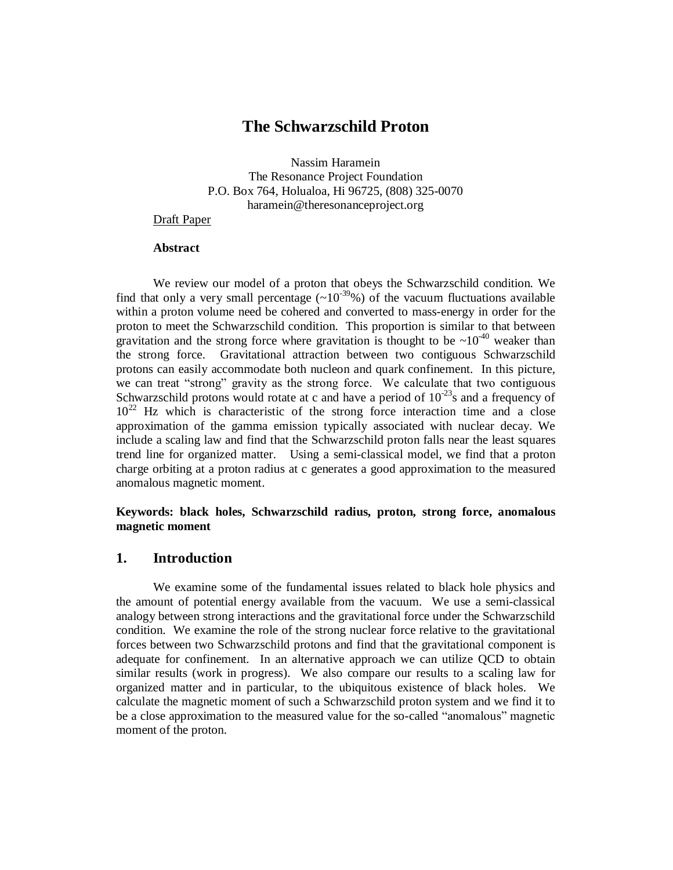## **The Schwarzschild Proton**

Nassim Haramein The Resonance Project Foundation P.O. Box 764, Holualoa, Hi 96725, (808) 325-0070 [haramein@theresonanceproject.org](mailto:haramein@theresonanceproject.org)

## Draft Paper

## **Abstract**

We review our model of a proton that obeys the Schwarzschild condition. We find that only a very small percentage  $(\sim 10^{-39}\%)$  of the vacuum fluctuations available within a proton volume need be cohered and converted to mass-energy in order for the proton to meet the Schwarzschild condition. This proportion is similar to that between gravitation and the strong force where gravitation is thought to be  $\sim 10^{-40}$  weaker than the strong force. Gravitational attraction between two contiguous Schwarzschild protons can easily accommodate both nucleon and quark confinement. In this picture, we can treat "strong" gravity as the strong force. We calculate that two contiguous Schwarzschild protons would rotate at c and have a period of  $10^{-23}$ s and a frequency of  $10^{22}$  Hz which is characteristic of the strong force interaction time and a close approximation of the gamma emission typically associated with nuclear decay. We include a scaling law and find that the Schwarzschild proton falls near the least squares trend line for organized matter. Using a semi-classical model, we find that a proton charge orbiting at a proton radius at c generates a good approximation to the measured anomalous magnetic moment.

## **Keywords: black holes, Schwarzschild radius, proton, strong force, anomalous magnetic moment**

## **1. Introduction**

We examine some of the fundamental issues related to black hole physics and the amount of potential energy available from the vacuum. We use a semi-classical analogy between strong interactions and the gravitational force under the Schwarzschild condition. We examine the role of the strong nuclear force relative to the gravitational forces between two Schwarzschild protons and find that the gravitational component is adequate for confinement. In an alternative approach we can utilize QCD to obtain similar results (work in progress). We also compare our results to a scaling law for organized matter and in particular, to the ubiquitous existence of black holes. We calculate the magnetic moment of such a Schwarzschild proton system and we find it to be a close approximation to the measured value for the so-called "anomalous" magnetic moment of the proton.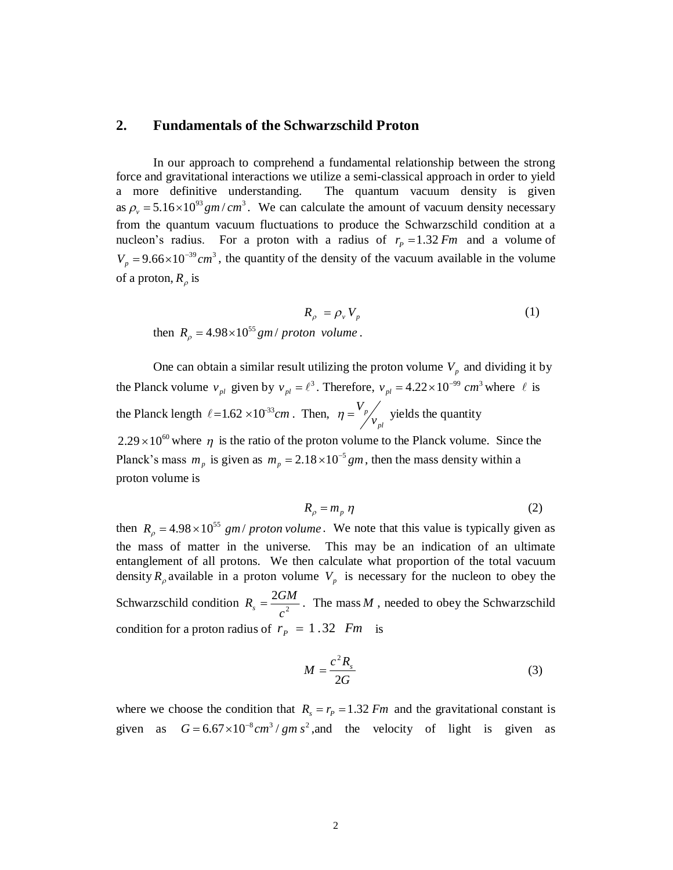## **2. Fundamentals of the Schwarzschild Proton**

In our approach to comprehend a fundamental relationship between the strong force and gravitational interactions we utilize a semi-classical approach in order to yield a more definitive understanding. The quantum vacuum density is given as  $\rho_v = 5.16 \times 10^{93}$  *gm* / *cm*<sup>3</sup>. We can calculate the amount of vacuum density necessary from the quantum vacuum fluctuations to produce the Schwarzschild condition at a nucleon's radius. For a proton with a radius of  $r_p = 1.32$  *Fm* and a volume of  $V_p = 9.66 \times 10^{-39}$  cm<sup>3</sup>, the quantity of the density of the vacuum available in the volume of a proton,  $R_\rho$  is

$$
R_{\rho} = \rho_{\nu} V_{p}
$$
 then  $R_{\rho} = 4.98 \times 10^{55} \text{ gm} / \text{ proton volume}$ . (1)

One can obtain a similar result utilizing the proton volume  $V_p$  and dividing it by the Planck volume  $v_{pl}$  given by  $v_{pl} = \ell^3$ . Therefore,  $v_{pl} = 4.22 \times 10^{-99}$  cm<sup>3</sup> where  $\ell$  is the Planck length  $\ell = 1.62 \times 10^{33}$  cm. Then,  $\eta = \frac{v_p}{v_p}$ *p v*  $\eta = \frac{V_p}{V}$  yields the quantity  $2.29 \times 10^{60}$  where  $\eta$  is the ratio of the proton volume to the Planck volume. Since the

Planck's mass  $m_p$  is given as  $m_p = 2.18 \times 10^{-5}$  gm, then the mass density within a proton volume is

$$
R_{\rho} = m_{p} \eta \tag{2}
$$

then  $R_{\rho} = 4.98 \times 10^{55}$  gm/ proton volume. We note that this value is typically given as the mass of matter in the universe. This may be an indication of an ultimate entanglement of all protons. We then calculate what proportion of the total vacuum density  $R_\rho$  available in a proton volume  $V_p$  is necessary for the nucleon to obey the Schwarzschild condition  $R_s = \frac{2G_l}{c^2}$  $R_s = \frac{2GM}{c^2}$ . The mass *M*, needed to obey the Schwarzschild condition for a proton radius of  $r_p = 1.32$  *Fm* is

$$
M = \frac{c^2 R_s}{2G} \tag{3}
$$

where we choose the condition that  $R_s = r_p = 1.32$  *Fm* and the gravitational constant is given as  $G = 6.67 \times 10^{-8} cm^3 / gm s^2$ , and the velocity of light is given as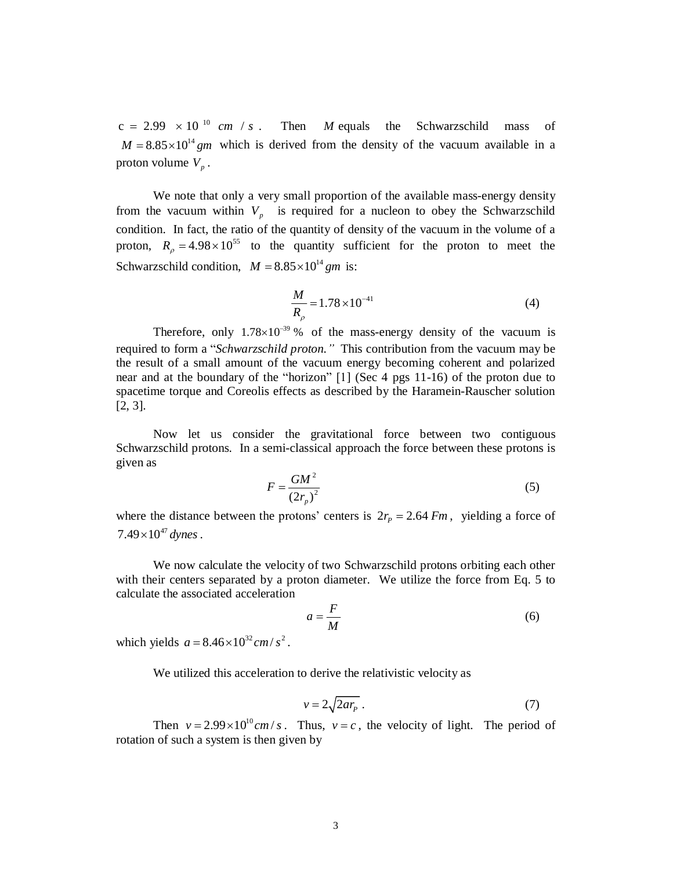$c = 2.99 \times 10^{-10}$  *cm* / *s*. Then *M* equals the Schwarzschild mass of  $M = 8.85 \times 10^{14}$  gm which is derived from the density of the vacuum available in a proton volume  $V_p$ .

We note that only a very small proportion of the available mass-energy density from the vacuum within  $V_p$  is required for a nucleon to obey the Schwarzschild condition. In fact, the ratio of the quantity of density of the vacuum in the volume of a proton,  $R_0 = 4.98 \times 10^{55}$  to the quantity sufficient for the proton to meet the Schwarzschild condition,  $M = 8.85 \times 10^{14}$  gm is:

$$
\frac{M}{R_{\rho}} = 1.78 \times 10^{-41}
$$
 (4)

Therefore, only  $1.78 \times 10^{-39}$  % of the mass-energy density of the vacuum is required to form a "*Schwarzschild proton."* This contribution from the vacuum may be the result of a small amount of the vacuum energy becoming coherent and polarized near and at the boundary of the "horizon" [1] (Sec 4 pgs 11-16) of the proton due to spacetime torque and Coreolis effects as described by the Haramein-Rauscher solution [2, 3].

Now let us consider the gravitational force between two contiguous Schwarzschild protons. In a semi-classical approach the force between these protons is given as

$$
F = \frac{GM^2}{\left(2r_p\right)^2} \tag{5}
$$

where the distance between the protons' centers is  $2r<sub>p</sub> = 2.64$  *Fm*, yielding a force of  $7.49\times 10^{47}$  dynes.

We now calculate the velocity of two Schwarzschild protons orbiting each other with their centers separated by a proton diameter. We utilize the force from Eq. 5 to calculate the associated acceleration

$$
a = \frac{F}{M} \tag{6}
$$

which yields  $a = 8.46 \times 10^{32}$  cm/ $s^2$ .

We utilized this acceleration to derive the relativistic velocity as

$$
v = 2\sqrt{2ar_p} \ . \tag{7}
$$

Then  $v = 2.99 \times 10^{10}$  cm/s. Thus,  $v = c$ , the velocity of light. The period of rotation of such a system is then given by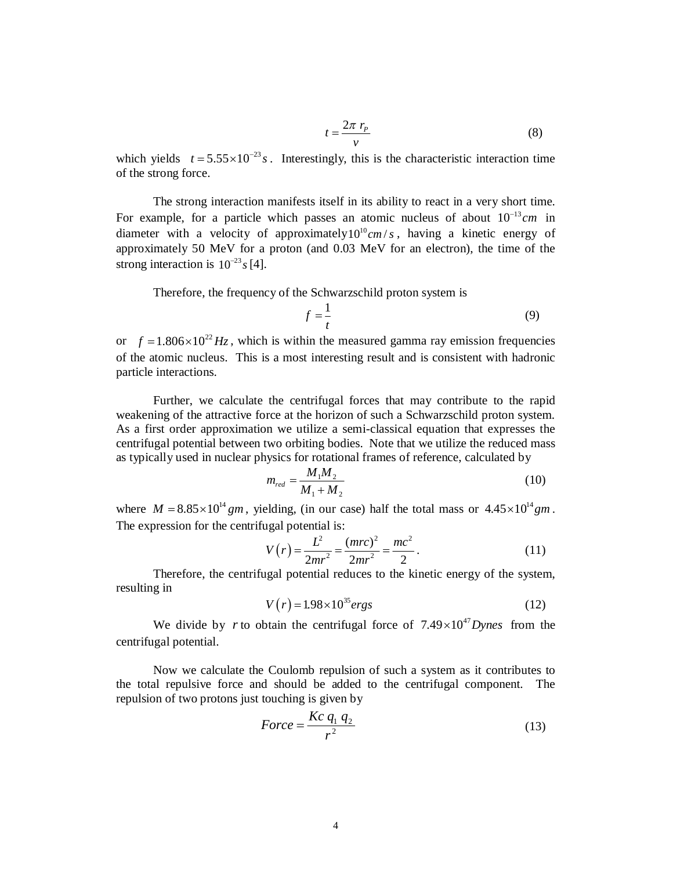$$
t = \frac{2\pi r_p}{v} \tag{8}
$$

which yields  $t = 5.55 \times 10^{-23} s$ . Interestingly, this is the characteristic interaction time of the strong force.

The strong interaction manifests itself in its ability to react in a very short time. For example, for a particle which passes an atomic nucleus of about  $10^{-13}$  cm in diameter with a velocity of approximately  $10^{10}$  cm /*s*, having a kinetic energy of approximately 50 MeV for a proton (and 0.03 MeV for an electron), the time of the strong interaction is  $10^{-23}$  s [4].

Therefore, the frequency of the Schwarzschild proton system is

$$
f = \frac{1}{t} \tag{9}
$$

or  $f = 1.806 \times 10^{22}$  Hz, which is within the measured gamma ray emission frequencies of the atomic nucleus. This is a most interesting result and is consistent with hadronic particle interactions.

Further, we calculate the centrifugal forces that may contribute to the rapid weakening of the attractive force at the horizon of such a Schwarzschild proton system. As a first order approximation we utilize a semi-classical equation that expresses the centrifugal potential between two orbiting bodies. Note that we utilize the reduced mass as typically used in nuclear physics for rotational frames of reference, calculated by

$$
m_{red} = \frac{M_1 M_2}{M_1 + M_2}
$$
 (10)

where  $M = 8.85 \times 10^{14}$  gm, yielding, (in our case) half the total mass or  $4.45 \times 10^{14}$  gm. The expression for the centrifugal potential is:

$$
V(r) = \frac{L^2}{2mr^2} = \frac{(mrc)^2}{2mr^2} = \frac{mc^2}{2}.
$$
 (11)

Therefore, the centrifugal potential reduces to the kinetic energy of the system, resulting in

$$
V(r) = 1.98 \times 10^{35} \text{ergs}
$$
 (12)

We divide by *r* to obtain the centrifugal force of  $7.49 \times 10^{47}$  Dynes from the centrifugal potential.

Now we calculate the Coulomb repulsion of such a system as it contributes to the total repulsive force and should be added to the centrifugal component. The repulsion of two protons just touching is given by

$$
Force = \frac{Kc \, q_1 \, q_2}{r^2} \tag{13}
$$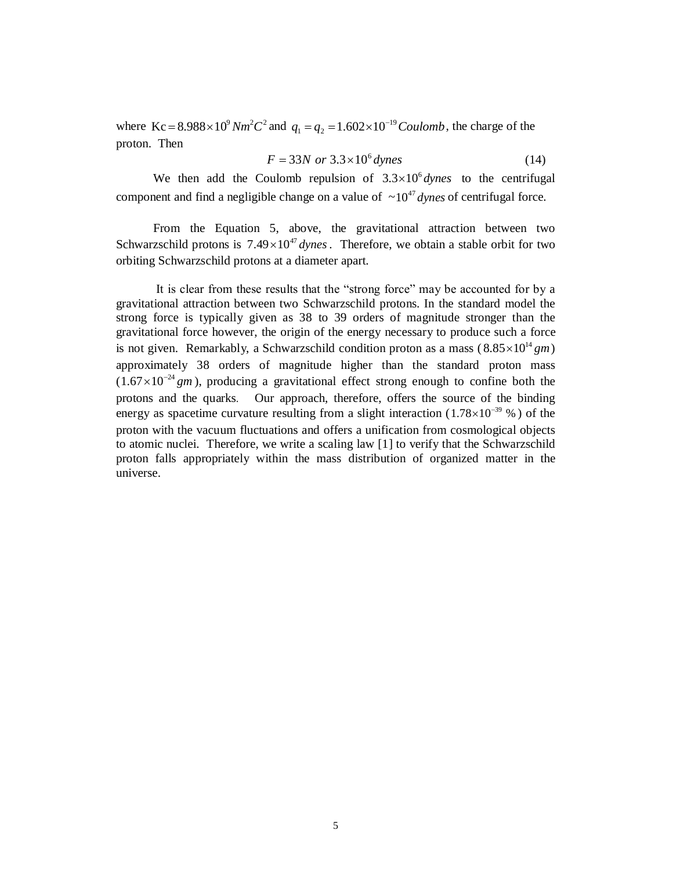where  $Kc = 8.988 \times 10^9 Nm^2C^2$  and  $q_1 = q_2 = 1.602 \times 10^{-19}$  *Coulomb*, the charge of the proton. Then

$$
F = 33N \text{ or } 3.3 \times 10^6 \text{ dynes}
$$
 (14)

We then add the Coulomb repulsion of  $3.3 \times 10^6$  *dynes* to the centrifugal component and find a negligible change on a value of  $\sim 10^{47}$  *dynes* of centrifugal force.

From the Equation 5, above, the gravitational attraction between two Schwarzschild protons is  $7.49 \times 10^{47}$  *dynes*. Therefore, we obtain a stable orbit for two orbiting Schwarzschild protons at a diameter apart.

It is clear from these results that the "strong force" may be accounted for by a gravitational attraction between two Schwarzschild protons. In the standard model the strong force is typically given as 38 to 39 orders of magnitude stronger than the gravitational force however, the origin of the energy necessary to produce such a force is not given. Remarkably, a Schwarzschild condition proton as a mass  $(8.85 \times 10^{14} \text{ gm})$ approximately 38 orders of magnitude higher than the standard proton mass  $(1.67 \times 10^{-24}$  gm), producing a gravitational effect strong enough to confine both the protons and the quarks. Our approach, therefore, offers the source of the binding energy as spacetime curvature resulting from a slight interaction  $(1.78 \times 10^{-39} \%)$  of the proton with the vacuum fluctuations and offers a unification from cosmological objects to atomic nuclei. Therefore, we write a scaling law [1] to verify that the Schwarzschild proton falls appropriately within the mass distribution of organized matter in the universe.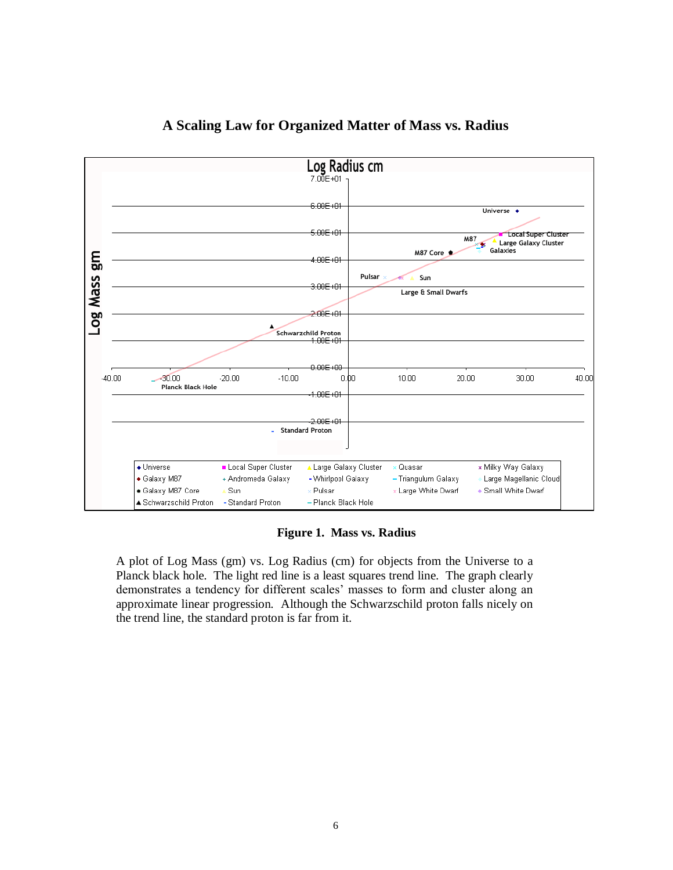

# **A Scaling Law for Organized Matter of Mass vs. Radius**

 **Figure 1. Mass vs. Radius**

A plot of Log Mass (gm) vs. Log Radius (cm) for objects from the Universe to a Planck black hole. The light red line is a least squares trend line. The graph clearly demonstrates a tendency for different scales' masses to form and cluster along an approximate linear progression. Although the Schwarzschild proton falls nicely on the trend line, the standard proton is far from it.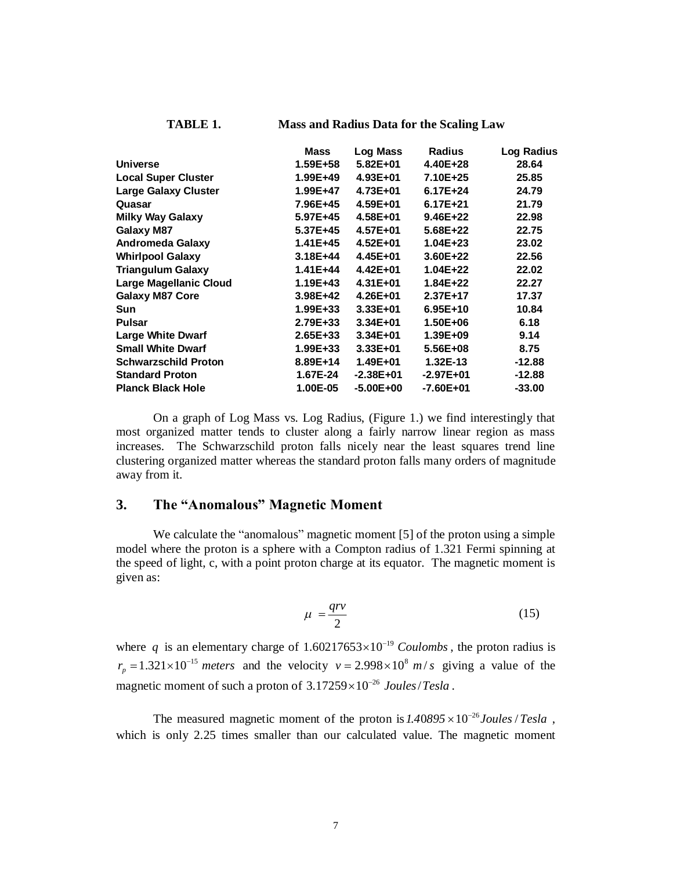#### **TABLE 1. Mass and Radius Data for the Scaling Law**

|                               | Mass         | <b>Log Mass</b> | <b>Radius</b> | <b>Log Radius</b> |
|-------------------------------|--------------|-----------------|---------------|-------------------|
| <b>Universe</b>               | 1.59E+58     | $5.82E + 01$    | 4.40E+28      | 28.64             |
| <b>Local Super Cluster</b>    | 1.99E+49     | 4.93E+01        | 7.10E+25      | 25.85             |
| <b>Large Galaxy Cluster</b>   | 1.99E+47     | 4.73E+01        | $6.17E + 24$  | 24.79             |
| Quasar                        | 7.96E+45     | 4.59E+01        | $6.17E + 21$  | 21.79             |
| <b>Milky Way Galaxy</b>       | 5.97E+45     | 4.58E+01        | $9.46E + 22$  | 22.98             |
| <b>Galaxy M87</b>             | 5.37E+45     | 4.57E+01        | 5.68E+22      | 22.75             |
| <b>Andromeda Galaxy</b>       | 1.41E+45     | $4.52E + 01$    | $1.04E + 23$  | 23.02             |
| <b>Whirlpool Galaxy</b>       | $3.18E + 44$ | 4.45E+01        | 3.60E+22      | 22.56             |
| <b>Triangulum Galaxy</b>      | 1.41E+44     | 4.42E+01        | $1.04E + 22$  | 22.02             |
| <b>Large Magellanic Cloud</b> | 1.19E+43     | $4.31E + 01$    | 1.84E+22      | 22.27             |
| <b>Galaxy M87 Core</b>        | 3.98E+42     | 4.26E+01        | 2.37E+17      | 17.37             |
| <b>Sun</b>                    | 1.99E+33     | $3.33E + 01$    | $6.95E+10$    | 10.84             |
| <b>Pulsar</b>                 | 2.79E+33     | $3.34E + 01$    | 1.50E+06      | 6.18              |
| <b>Large White Dwarf</b>      | $2.65E + 33$ | $3.34E + 01$    | 1.39E+09      | 9.14              |
| <b>Small White Dwarf</b>      | 1.99E+33     | $3.33E + 01$    | 5.56E+08      | 8.75              |
| <b>Schwarzschild Proton</b>   | 8.89E+14     | $1.49E + 01$    | 1.32E-13      | $-12.88$          |
| <b>Standard Proton</b>        | 1.67E-24     | $-2.38E + 01$   | $-2.97E + 01$ | -12.88            |
| <b>Planck Black Hole</b>      | 1.00E-05     | $-5.00E + 00$   | $-7.60E + 01$ | $-33.00$          |

On a graph of Log Mass vs. Log Radius, (Figure 1.) we find interestingly that most organized matter tends to cluster along a fairly narrow linear region as mass increases. The Schwarzschild proton falls nicely near the least squares trend line clustering organized matter whereas the standard proton falls many orders of magnitude away from it.

#### **3. The "Anomalous" Magnetic Moment**

We calculate the "anomalous" magnetic moment [5] of the proton using a simple model where the proton is a sphere with a Compton radius of 1.321 Fermi spinning at the speed of light, c, with a point proton charge at its equator. The magnetic moment is given as:

$$
\mu = \frac{qrv}{2} \tag{15}
$$

where q is an elementary charge of  $1.60217653 \times 10^{-19}$  Coulombs, the proton radius is  $r_p = 1.321 \times 10^{-15}$  *meters* and the velocity  $v = 2.998 \times 10^8$  *m/s* giving a value of the magnetic moment of such a proton of  $3.17259 \times 10^{-26}$  Joules/Tesla.

The measured magnetic moment of the proton is  $1.40895 \times 10^{-26}$  Joules / Tesla, which is only 2.25 times smaller than our calculated value. The magnetic moment